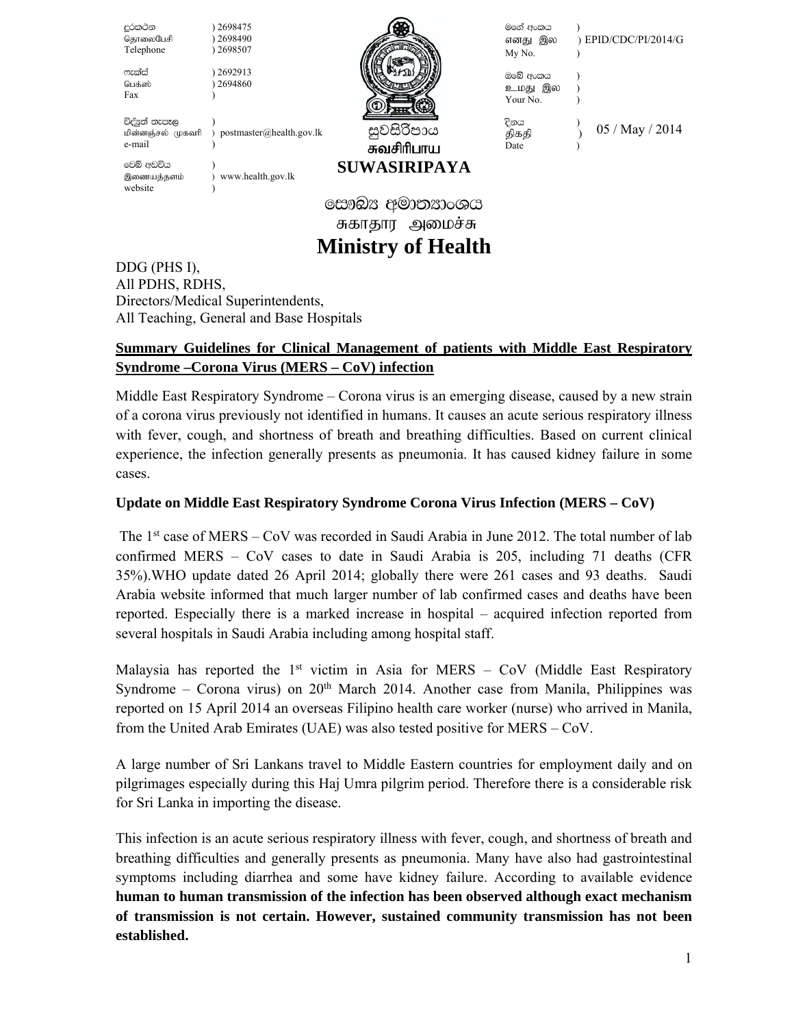| දුරකථන<br>தொலைபேசி<br>Telephone               | 2698475<br>2698490<br>2698507 |                          | මගේ අංකය<br>எனது இல<br>My No.   | ) EPID/CDC/PI/2014/G |
|-----------------------------------------------|-------------------------------|--------------------------|---------------------------------|----------------------|
| ෆැක්ස්<br>பெக்ஸ்<br>Fax                       | 2692913<br>2694860            |                          | ඔබේ අංකය<br>உமது இல<br>Your No. |                      |
| විද්යුත් තැපෑල<br>மின்னஞ்சல் முகவரி<br>e-mail | ) postmaster@health.gov.lk    | සුවසිරිපාය<br>சுவசிரிபாய | දිනය<br>திகதி<br>Date           | 05 / May / 2014      |
| වෙබ් අඩවිය<br>இணையத்தளம்<br>website           | www.health.gov.lk             | <b>SUWASIRIPAYA</b>      |                                 |                      |
| සෞඛ $x$ අමාතනාංශය                             |                               |                          |                                 |                      |
|                                               |                               | சுகாதார அமைச்சு          |                                 |                      |

# **Ministry of Health**

DDG (PHS I), All PDHS, RDHS, Directors/Medical Superintendents, All Teaching, General and Base Hospitals

# **Summary Guidelines for Clinical Management of patients with Middle East Respiratory Syndrome –Corona Virus (MERS – CoV) infection**

Middle East Respiratory Syndrome – Corona virus is an emerging disease, caused by a new strain of a corona virus previously not identified in humans. It causes an acute serious respiratory illness with fever, cough, and shortness of breath and breathing difficulties. Based on current clinical experience, the infection generally presents as pneumonia. It has caused kidney failure in some cases.

## **Update on Middle East Respiratory Syndrome Corona Virus Infection (MERS – CoV)**

 The 1st case of MERS – CoV was recorded in Saudi Arabia in June 2012. The total number of lab confirmed MERS – CoV cases to date in Saudi Arabia is 205, including 71 deaths (CFR 35%).WHO update dated 26 April 2014; globally there were 261 cases and 93 deaths. Saudi Arabia website informed that much larger number of lab confirmed cases and deaths have been reported. Especially there is a marked increase in hospital – acquired infection reported from several hospitals in Saudi Arabia including among hospital staff.

Malaysia has reported the  $1<sup>st</sup>$  victim in Asia for MERS – CoV (Middle East Respiratory Syndrome – Corona virus) on  $20<sup>th</sup>$  March 2014. Another case from Manila, Philippines was reported on 15 April 2014 an overseas Filipino health care worker (nurse) who arrived in Manila, from the United Arab Emirates (UAE) was also tested positive for MERS – CoV.

A large number of Sri Lankans travel to Middle Eastern countries for employment daily and on pilgrimages especially during this Haj Umra pilgrim period. Therefore there is a considerable risk for Sri Lanka in importing the disease.

This infection is an acute serious respiratory illness with fever, cough, and shortness of breath and breathing difficulties and generally presents as pneumonia. Many have also had gastrointestinal symptoms including diarrhea and some have kidney failure. According to available evidence **human to human transmission of the infection has been observed although exact mechanism of transmission is not certain. However, sustained community transmission has not been established.**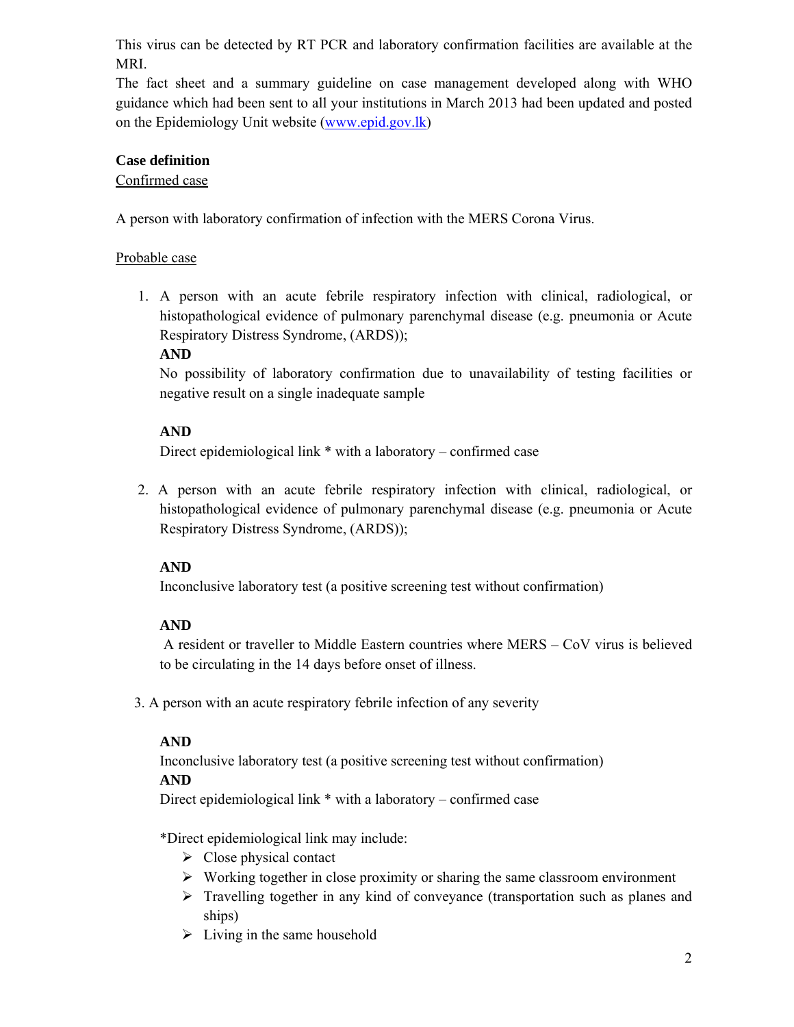This virus can be detected by RT PCR and laboratory confirmation facilities are available at the MRI.

The fact sheet and a summary guideline on case management developed along with WHO guidance which had been sent to all your institutions in March 2013 had been updated and posted on the Epidemiology Unit website (www.epid.gov.lk)

## **Case definition**

## Confirmed case

A person with laboratory confirmation of infection with the MERS Corona Virus.

## Probable case

1. A person with an acute febrile respiratory infection with clinical, radiological, or histopathological evidence of pulmonary parenchymal disease (e.g. pneumonia or Acute Respiratory Distress Syndrome, (ARDS));

## **AND**

No possibility of laboratory confirmation due to unavailability of testing facilities or negative result on a single inadequate sample

## **AND**

Direct epidemiological link \* with a laboratory – confirmed case

2. A person with an acute febrile respiratory infection with clinical, radiological, or histopathological evidence of pulmonary parenchymal disease (e.g. pneumonia or Acute Respiratory Distress Syndrome, (ARDS));

# **AND**

Inconclusive laboratory test (a positive screening test without confirmation)

# **AND**

 A resident or traveller to Middle Eastern countries where MERS – CoV virus is believed to be circulating in the 14 days before onset of illness.

3. A person with an acute respiratory febrile infection of any severity

## **AND**

Inconclusive laboratory test (a positive screening test without confirmation)

## **AND**

Direct epidemiological link \* with a laboratory – confirmed case

\*Direct epidemiological link may include:

- $\triangleright$  Close physical contact
- $\triangleright$  Working together in close proximity or sharing the same classroom environment
- $\triangleright$  Travelling together in any kind of conveyance (transportation such as planes and ships)
- $\triangleright$  Living in the same household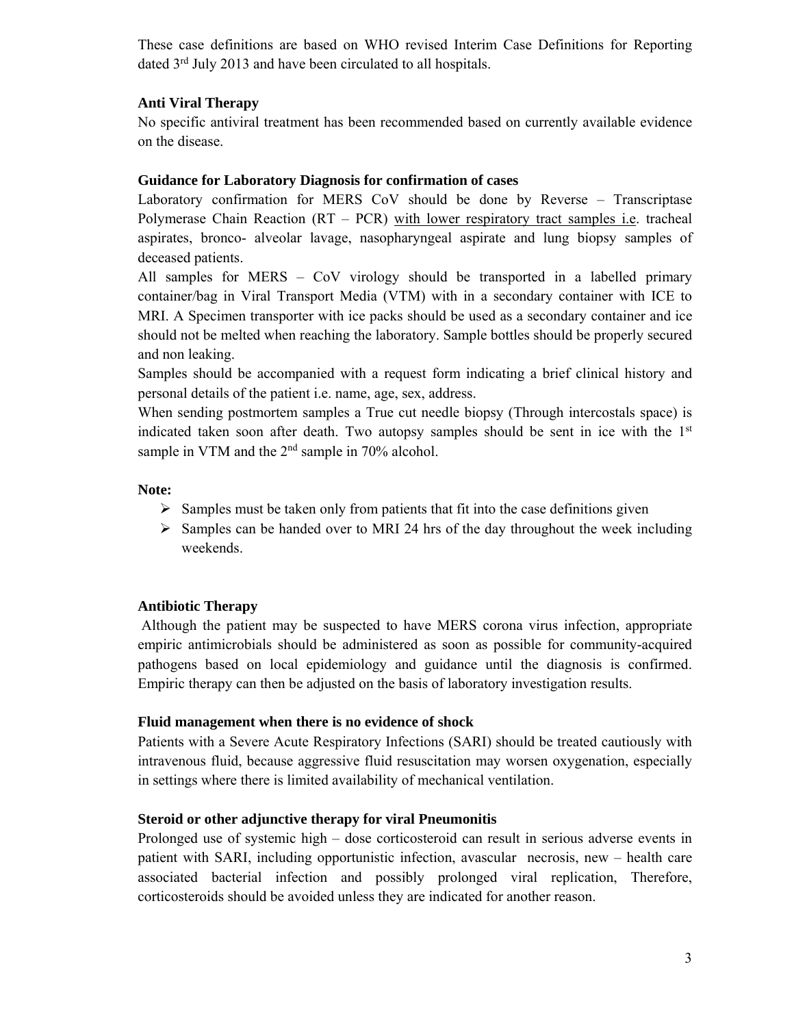These case definitions are based on WHO revised Interim Case Definitions for Reporting dated 3<sup>rd</sup> July 2013 and have been circulated to all hospitals.

## **Anti Viral Therapy**

No specific antiviral treatment has been recommended based on currently available evidence on the disease.

## **Guidance for Laboratory Diagnosis for confirmation of cases**

Laboratory confirmation for MERS CoV should be done by Reverse – Transcriptase Polymerase Chain Reaction (RT – PCR) with lower respiratory tract samples i.e. tracheal aspirates, bronco- alveolar lavage, nasopharyngeal aspirate and lung biopsy samples of deceased patients.

All samples for MERS – CoV virology should be transported in a labelled primary container/bag in Viral Transport Media (VTM) with in a secondary container with ICE to MRI. A Specimen transporter with ice packs should be used as a secondary container and ice should not be melted when reaching the laboratory. Sample bottles should be properly secured and non leaking.

Samples should be accompanied with a request form indicating a brief clinical history and personal details of the patient i.e. name, age, sex, address.

When sending postmortem samples a True cut needle biopsy (Through intercostals space) is indicated taken soon after death. Two autopsy samples should be sent in ice with the 1<sup>st</sup> sample in VTM and the 2<sup>nd</sup> sample in 70% alcohol.

## **Note:**

- $\triangleright$  Samples must be taken only from patients that fit into the case definitions given
- $\triangleright$  Samples can be handed over to MRI 24 hrs of the day throughout the week including weekends.

# **Antibiotic Therapy**

Although the patient may be suspected to have MERS corona virus infection, appropriate empiric antimicrobials should be administered as soon as possible for community-acquired pathogens based on local epidemiology and guidance until the diagnosis is confirmed. Empiric therapy can then be adjusted on the basis of laboratory investigation results.

## **Fluid management when there is no evidence of shock**

Patients with a Severe Acute Respiratory Infections (SARI) should be treated cautiously with intravenous fluid, because aggressive fluid resuscitation may worsen oxygenation, especially in settings where there is limited availability of mechanical ventilation.

# **Steroid or other adjunctive therapy for viral Pneumonitis**

Prolonged use of systemic high – dose corticosteroid can result in serious adverse events in patient with SARI, including opportunistic infection, avascular necrosis, new – health care associated bacterial infection and possibly prolonged viral replication, Therefore, corticosteroids should be avoided unless they are indicated for another reason.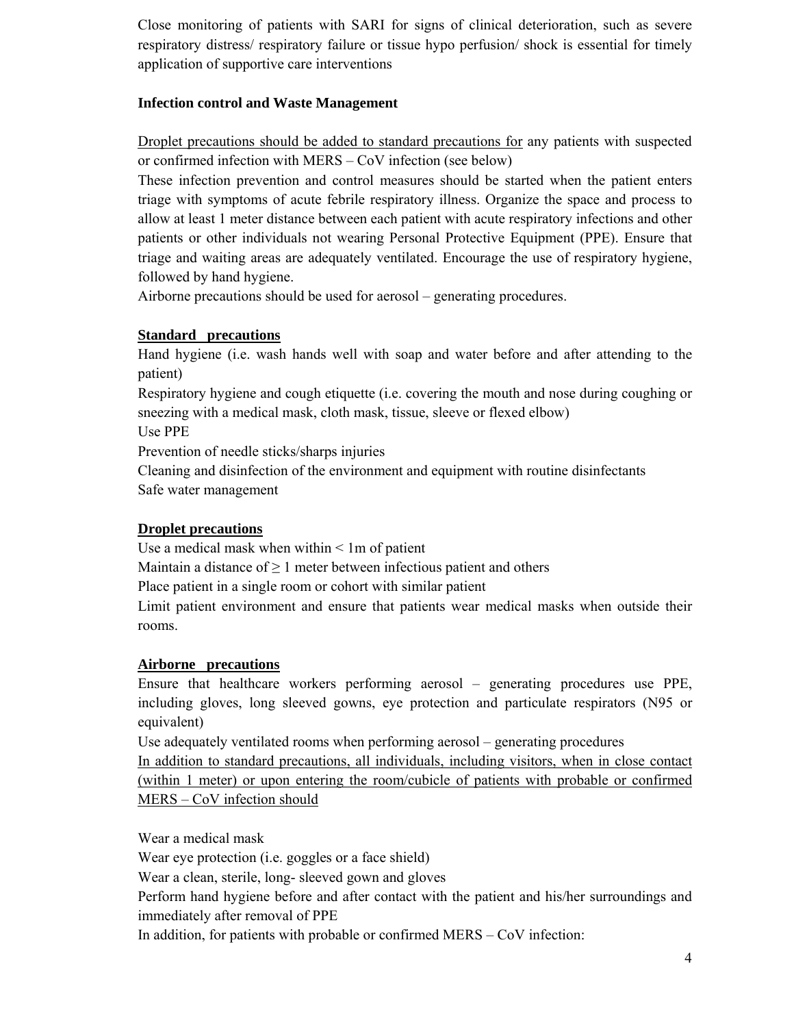Close monitoring of patients with SARI for signs of clinical deterioration, such as severe respiratory distress/ respiratory failure or tissue hypo perfusion/ shock is essential for timely application of supportive care interventions

## **Infection control and Waste Management**

Droplet precautions should be added to standard precautions for any patients with suspected or confirmed infection with MERS – CoV infection (see below)

These infection prevention and control measures should be started when the patient enters triage with symptoms of acute febrile respiratory illness. Organize the space and process to allow at least 1 meter distance between each patient with acute respiratory infections and other patients or other individuals not wearing Personal Protective Equipment (PPE). Ensure that triage and waiting areas are adequately ventilated. Encourage the use of respiratory hygiene, followed by hand hygiene.

Airborne precautions should be used for aerosol – generating procedures.

# **Standard precautions**

Hand hygiene (i.e. wash hands well with soap and water before and after attending to the patient)

Respiratory hygiene and cough etiquette (i.e. covering the mouth and nose during coughing or sneezing with a medical mask, cloth mask, tissue, sleeve or flexed elbow)

Use PPE

Prevention of needle sticks/sharps injuries

Cleaning and disinfection of the environment and equipment with routine disinfectants Safe water management

# **Droplet precautions**

Use a medical mask when within < 1m of patient

Maintain a distance of  $\geq 1$  meter between infectious patient and others

Place patient in a single room or cohort with similar patient

Limit patient environment and ensure that patients wear medical masks when outside their rooms.

## **Airborne precautions**

Ensure that healthcare workers performing aerosol – generating procedures use PPE, including gloves, long sleeved gowns, eye protection and particulate respirators (N95 or equivalent)

Use adequately ventilated rooms when performing aerosol – generating procedures In addition to standard precautions, all individuals, including visitors, when in close contact (within 1 meter) or upon entering the room/cubicle of patients with probable or confirmed

MERS – CoV infection should

Wear a medical mask

Wear eye protection (i.e. goggles or a face shield)

Wear a clean, sterile, long- sleeved gown and gloves

Perform hand hygiene before and after contact with the patient and his/her surroundings and immediately after removal of PPE

In addition, for patients with probable or confirmed MERS – CoV infection: